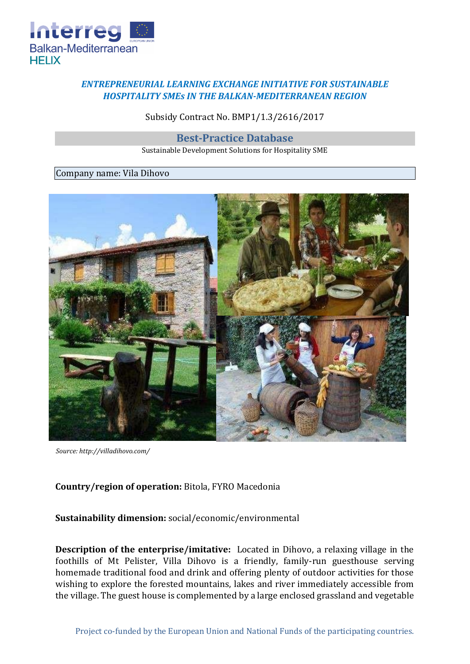

## *ENTREPRENEURIAL LEARNING EXCHANGE INITIATIVE FOR SUSTAINABLE HOSPITALITY SMEs IN THE BALKAN-MEDITERRANEAN REGION*

Subsidy Contract No. BMP1/1.3/2616/2017

**Best-Practice Database**

Sustainable Development Solutions for Hospitality SME

## Company name: Vila Dihovo



*Source: http://villadihovo.com/* 

## **Country/region of operation:** Bitola, FYRO Macedonia

**Sustainability dimension:** social/economic/environmental

**Description of the enterprise/imitative:** Located in Dihovo, a relaxing village in the foothills of Mt Pelister, Villa Dihovo is a friendly, family-run guesthouse serving homemade traditional food and drink and offering plenty of outdoor activities for those wishing to explore the forested mountains, lakes and river immediately accessible from the village. The guest house is complemented by a large enclosed grassland and vegetable